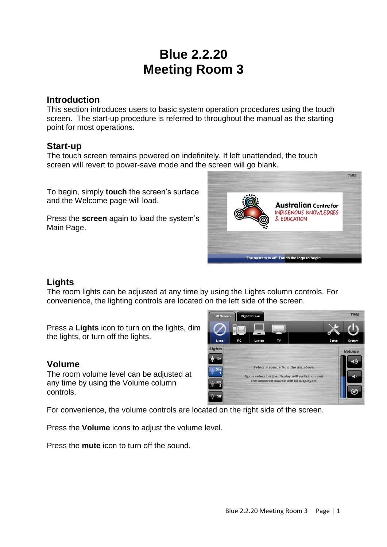# **Blue 2.2.20 Meeting Room 3**

#### **Introduction**

This section introduces users to basic system operation procedures using the touch screen. The start-up procedure is referred to throughout the manual as the starting point for most operations.

### **Start-up**

The touch screen remains powered on indefinitely. If left unattended, the touch screen will revert to power-save mode and the screen will go blank.

To begin, simply **touch** the screen's surface and the Welcome page will load.

Press the **screen** again to load the system's Main Page.



## **Lights**

The room lights can be adjusted at any time by using the Lights column controls. For convenience, the lighting controls are located on the left side of the screen.

Press a **Lights** icon to turn on the lights, dim the lights, or turn off the lights.

### **Volume**

The room volume level can be adjusted at any time by using the Volume column controls.

For convenience, the volume controls are located on the right side of the screen.

Press the **Volume** icons to adjust the volume level.

Press the **mute** icon to turn off the sound.

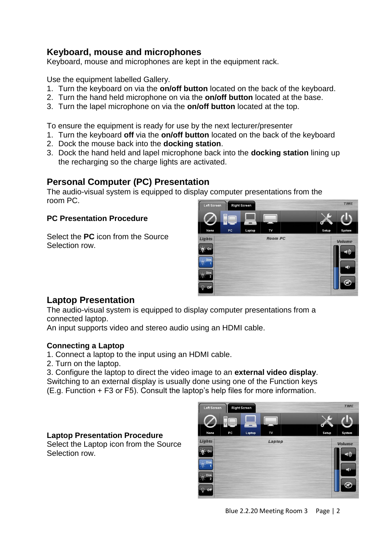## **Keyboard, mouse and microphones**

Keyboard, mouse and microphones are kept in the equipment rack.

Use the equipment labelled Gallery.

- 1. Turn the keyboard on via the **on/off button** located on the back of the keyboard.
- 2. Turn the hand held microphone on via the **on/off button** located at the base.
- 3. Turn the lapel microphone on via the **on/off button** located at the top.

To ensure the equipment is ready for use by the next lecturer/presenter

- 1. Turn the keyboard **off** via the **on/off button** located on the back of the keyboard
- 2. Dock the mouse back into the **docking station**.
- 3. Dock the hand held and lapel microphone back into the **docking station** lining up the recharging so the charge lights are activated.

## **Personal Computer (PC) Presentation**

The audio-visual system is equipped to display computer presentations from the room PC.

#### **PC Presentation Procedure**

Select the **PC** icon from the Source Selection row.



## **Laptop Presentation**

The audio-visual system is equipped to display computer presentations from a connected laptop.

An input supports video and stereo audio using an HDMI cable.

#### **Connecting a Laptop**

- 1. Connect a laptop to the input using an HDMI cable.
- 2. Turn on the laptop.

3. Configure the laptop to direct the video image to an **external video display**. Switching to an external display is usually done using one of the Function keys (E.g. Function + F3 or F5). Consult the laptop's help files for more information.

#### **Laptop Presentation Procedure**

Select the Laptop icon from the Source Selection row.